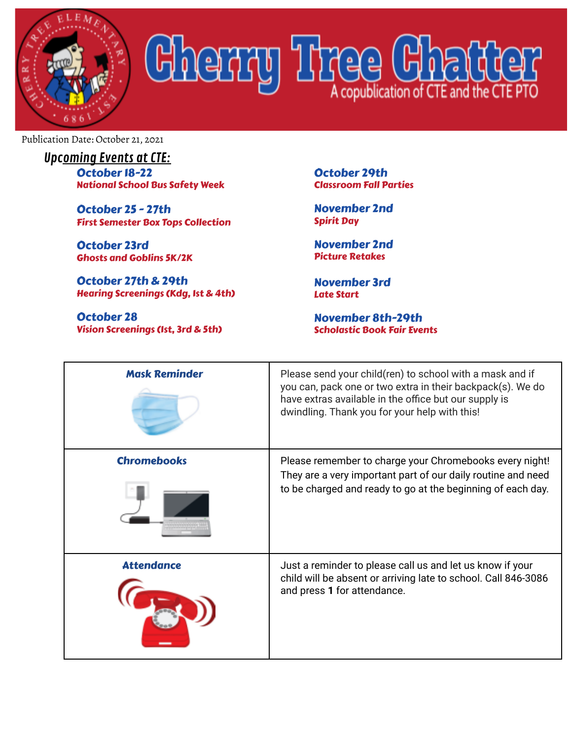

## Cherry Tree Chatte

Publication Date: October 21, 2021

| <b>Upcoming Events at CTE:</b>         |
|----------------------------------------|
| October 18-22                          |
| <b>National School Bus Safety Week</b> |

October 25 - 27th First Semester Box Tops Collection

October 23rd Ghosts and Goblins 5K/2K

October 27th & 29th Hearing Screenings (Kdg, 1st & 4th)

October 28 Vision Screenings (1st, 3rd & 5th) October 29th Classroom Fall Parties

November 2nd Spirit Day

November 2nd Picture Retakes

November 3rd Late Start

November 8th-29th Scholastic Book Fair Events

| <b>Mask Reminder</b> | Please send your child(ren) to school with a mask and if<br>you can, pack one or two extra in their backpack(s). We do<br>have extras available in the office but our supply is<br>dwindling. Thank you for your help with this! |
|----------------------|----------------------------------------------------------------------------------------------------------------------------------------------------------------------------------------------------------------------------------|
| <b>Chromebooks</b>   | Please remember to charge your Chromebooks every night!<br>They are a very important part of our daily routine and need<br>to be charged and ready to go at the beginning of each day.                                           |
| <b>Attendance</b>    | Just a reminder to please call us and let us know if your<br>child will be absent or arriving late to school. Call 846-3086<br>and press 1 for attendance.                                                                       |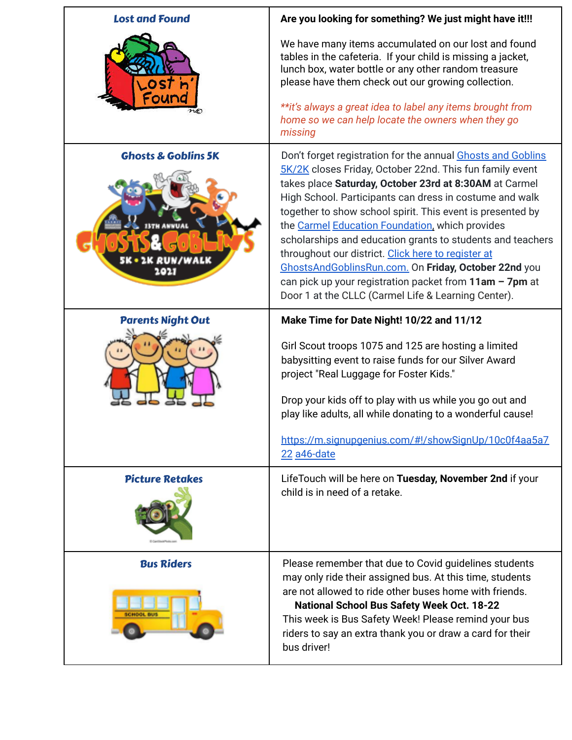| <b>Lost and Found</b>                              | Are you looking for something? We just might have it!!!                                                                                                                                                                                                                                                                                                                                                                                                                                                                                                                                                                                                       |
|----------------------------------------------------|---------------------------------------------------------------------------------------------------------------------------------------------------------------------------------------------------------------------------------------------------------------------------------------------------------------------------------------------------------------------------------------------------------------------------------------------------------------------------------------------------------------------------------------------------------------------------------------------------------------------------------------------------------------|
|                                                    | We have many items accumulated on our lost and found<br>tables in the cafeteria. If your child is missing a jacket,<br>lunch box, water bottle or any other random treasure<br>please have them check out our growing collection.                                                                                                                                                                                                                                                                                                                                                                                                                             |
|                                                    | **it's always a great idea to label any items brought from<br>home so we can help locate the owners when they go<br>missing                                                                                                                                                                                                                                                                                                                                                                                                                                                                                                                                   |
| <b>Ghosts &amp; Goblins 5K</b><br>RUN/WALK<br>2021 | Don't forget registration for the annual Ghosts and Goblins<br>5K/2K closes Friday, October 22nd. This fun family event<br>takes place Saturday, October 23rd at 8:30AM at Carmel<br>High School. Participants can dress in costume and walk<br>together to show school spirit. This event is presented by<br>the Carmel Education Foundation, which provides<br>scholarships and education grants to students and teachers<br>throughout our district. Click here to register at<br>GhostsAndGoblinsRun.com. On Friday, October 22nd you<br>can pick up your registration packet from $11am - 7pm$ at<br>Door 1 at the CLLC (Carmel Life & Learning Center). |
| <b>Parents Night Out</b>                           | Make Time for Date Night! 10/22 and 11/12                                                                                                                                                                                                                                                                                                                                                                                                                                                                                                                                                                                                                     |
|                                                    | Girl Scout troops 1075 and 125 are hosting a limited                                                                                                                                                                                                                                                                                                                                                                                                                                                                                                                                                                                                          |
|                                                    | babysitting event to raise funds for our Silver Award<br>project "Real Luggage for Foster Kids."                                                                                                                                                                                                                                                                                                                                                                                                                                                                                                                                                              |
|                                                    | Drop your kids off to play with us while you go out and<br>play like adults, all while donating to a wonderful cause!                                                                                                                                                                                                                                                                                                                                                                                                                                                                                                                                         |
|                                                    | https://m.signupgenius.com/#!/showSignUp/10c0f4aa5a7<br>22 a46-date                                                                                                                                                                                                                                                                                                                                                                                                                                                                                                                                                                                           |
| <b>Picture Retakes</b>                             | LifeTouch will be here on Tuesday, November 2nd if your<br>child is in need of a retake.                                                                                                                                                                                                                                                                                                                                                                                                                                                                                                                                                                      |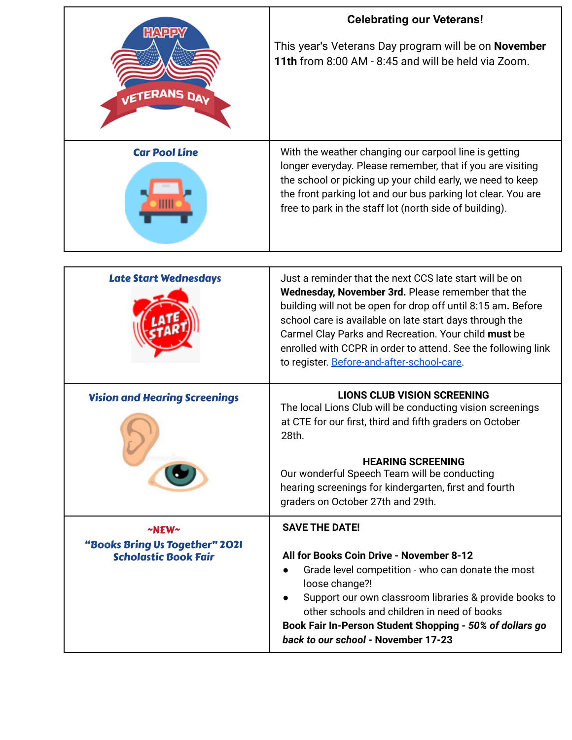| <b>HAPPY</b>                                                  | <b>Celebrating our Veterans!</b>                                                                                                                                                                                                                                                                                                                                                                               |
|---------------------------------------------------------------|----------------------------------------------------------------------------------------------------------------------------------------------------------------------------------------------------------------------------------------------------------------------------------------------------------------------------------------------------------------------------------------------------------------|
| VETERANS DAY                                                  | This year's Veterans Day program will be on November<br>11th from 8:00 AM - 8:45 and will be held via Zoom.                                                                                                                                                                                                                                                                                                    |
| <b>Car Pool Line</b>                                          | With the weather changing our carpool line is getting<br>longer everyday. Please remember, that if you are visiting<br>the school or picking up your child early, we need to keep<br>the front parking lot and our bus parking lot clear. You are<br>free to park in the staff lot (north side of building).                                                                                                   |
|                                                               |                                                                                                                                                                                                                                                                                                                                                                                                                |
| <b>Late Start Wednesdays</b>                                  | Just a reminder that the next CCS late start will be on<br>Wednesday, November 3rd. Please remember that the<br>building will not be open for drop off until 8:15 am. Before<br>school care is available on late start days through the<br>Carmel Clay Parks and Recreation. Your child must be<br>enrolled with CCPR in order to attend. See the following link<br>to register. Before-and-after-school-care. |
| <b>Vision and Hearing Screenings</b>                          | <b>LIONS CLUB VISION SCREENING</b><br>The local Lions Club will be conducting vision screenings<br>at CTE for our first, third and fifth graders on October<br>28th.                                                                                                                                                                                                                                           |
|                                                               | <b>HEARING SCREENING</b><br>Our wonderful Speech Team will be conducting<br>hearing screenings for kindergarten, first and fourth<br>graders on October 27th and 29th.                                                                                                                                                                                                                                         |
| $~\sim$ NEW $\sim$                                            | <b>SAVE THE DATE!</b>                                                                                                                                                                                                                                                                                                                                                                                          |
| "Books Bring Us Together" 2021<br><b>Scholastic Book Fair</b> | All for Books Coin Drive - November 8-12<br>Grade level competition - who can donate the most<br>loose change?!<br>Support our own classroom libraries & provide books to<br>other schools and children in need of books<br>Book Fair In-Person Student Shopping - 50% of dollars go<br>back to our school - November 17-23                                                                                    |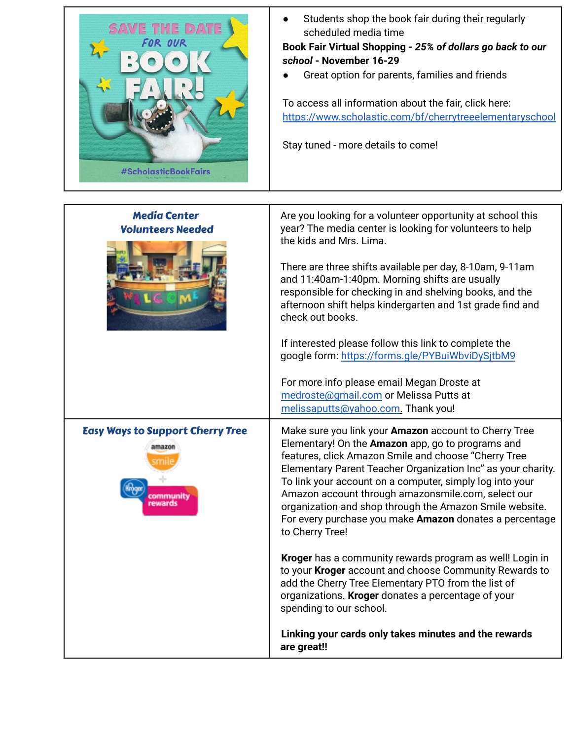

● Students shop the book fair during their regularly scheduled media time

**Book Fair Virtual Shopping -** *25% of dollars go back to our school* **- November 16-29**

● Great option for parents, families and friends

To access all information about the fair, click here: <https://www.scholastic.com/bf/cherrytreeelementaryschool>

Stay tuned - more details to come!

| <b>Media Center</b><br><b>Volunteers Needed</b>   | Are you looking for a volunteer opportunity at school this<br>year? The media center is looking for volunteers to help<br>the kids and Mrs. Lima.<br>There are three shifts available per day, 8-10am, 9-11am<br>and 11:40am-1:40pm. Morning shifts are usually<br>responsible for checking in and shelving books, and the<br>afternoon shift helps kindergarten and 1st grade find and<br>check out books.<br>If interested please follow this link to complete the<br>google form: https://forms.gle/PYBuiWbviDySjtbM9<br>For more info please email Megan Droste at<br>medroste@gmail.com or Melissa Putts at |
|---------------------------------------------------|------------------------------------------------------------------------------------------------------------------------------------------------------------------------------------------------------------------------------------------------------------------------------------------------------------------------------------------------------------------------------------------------------------------------------------------------------------------------------------------------------------------------------------------------------------------------------------------------------------------|
|                                                   | melissaputts@yahoo.com. Thank you!                                                                                                                                                                                                                                                                                                                                                                                                                                                                                                                                                                               |
| <b>Easy Ways to Support Cherry Tree</b><br>amazon | Make sure you link your Amazon account to Cherry Tree<br>Elementary! On the Amazon app, go to programs and<br>features, click Amazon Smile and choose "Cherry Tree<br>Elementary Parent Teacher Organization Inc" as your charity.<br>To link your account on a computer, simply log into your<br>Amazon account through amazonsmile.com, select our<br>organization and shop through the Amazon Smile website.<br>For every purchase you make Amazon donates a percentage<br>to Cherry Tree!                                                                                                                    |
|                                                   | Kroger has a community rewards program as well! Login in<br>to your Kroger account and choose Community Rewards to<br>add the Cherry Tree Elementary PTO from the list of<br>organizations. Kroger donates a percentage of your<br>spending to our school.                                                                                                                                                                                                                                                                                                                                                       |
|                                                   | Linking your cards only takes minutes and the rewards<br>are great!!                                                                                                                                                                                                                                                                                                                                                                                                                                                                                                                                             |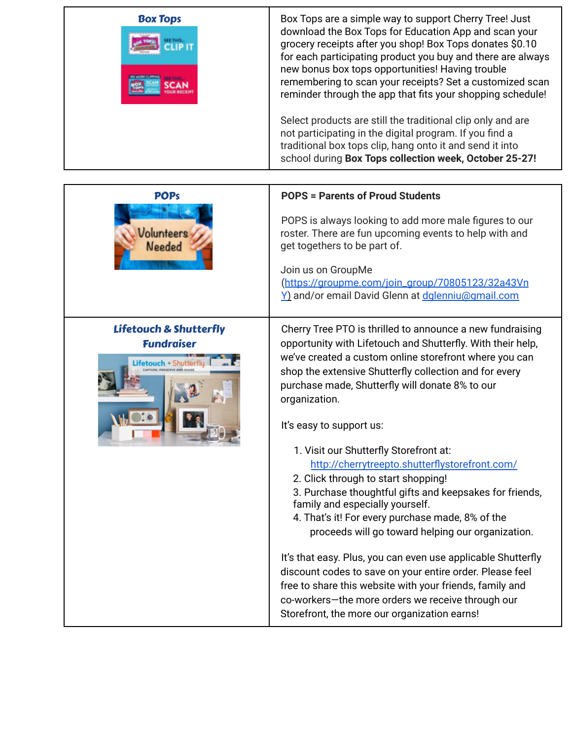| <b>Box Tops</b> | Box Tops are a simple way to support Cherry Tree! Just<br>download the Box Tops for Education App and scan your<br>grocery receipts after you shop! Box Tops donates \$0.10<br>for each participating product you buy and there are always<br>new bonus box tops opportunities! Having trouble<br>remembering to scan your receipts? Set a customized scan<br>reminder through the app that fits your shopping schedule! |
|-----------------|--------------------------------------------------------------------------------------------------------------------------------------------------------------------------------------------------------------------------------------------------------------------------------------------------------------------------------------------------------------------------------------------------------------------------|
|                 | Select products are still the traditional clip only and are<br>not participating in the digital program. If you find a<br>traditional box tops clip, hang onto it and send it into<br>school during Box Tops collection week, October 25-27!                                                                                                                                                                             |

| <b>POPs</b><br>Jolunteers<br>Needed                                               | <b>POPS = Parents of Proud Students</b><br>POPS is always looking to add more male figures to our<br>roster. There are fun upcoming events to help with and<br>get togethers to be part of.<br>Join us on GroupMe<br>(https://groupme.com/join_group/70805123/32a43Vn<br>Y) and/or email David Glenn at dalenniu@qmail.com                                                                                                                                                                                                                                                                                                                                                                                                                                                                                                                                                                                                                                                          |
|-----------------------------------------------------------------------------------|-------------------------------------------------------------------------------------------------------------------------------------------------------------------------------------------------------------------------------------------------------------------------------------------------------------------------------------------------------------------------------------------------------------------------------------------------------------------------------------------------------------------------------------------------------------------------------------------------------------------------------------------------------------------------------------------------------------------------------------------------------------------------------------------------------------------------------------------------------------------------------------------------------------------------------------------------------------------------------------|
| <b>Lifetouch &amp; Shutterfly</b><br><b>Fundraiser</b><br><b>Lifetouch -</b> Shut | Cherry Tree PTO is thrilled to announce a new fundraising<br>opportunity with Lifetouch and Shutterfly. With their help,<br>we've created a custom online storefront where you can<br>shop the extensive Shutterfly collection and for every<br>purchase made, Shutterfly will donate 8% to our<br>organization.<br>It's easy to support us:<br>1. Visit our Shutterfly Storefront at:<br>http://cherrytreepto.shutterflystorefront.com/<br>2. Click through to start shopping!<br>3. Purchase thoughtful gifts and keepsakes for friends,<br>family and especially yourself.<br>4. That's it! For every purchase made, 8% of the<br>proceeds will go toward helping our organization.<br>It's that easy. Plus, you can even use applicable Shutterfly<br>discount codes to save on your entire order. Please feel<br>free to share this website with your friends, family and<br>co-workers-the more orders we receive through our<br>Storefront, the more our organization earns! |